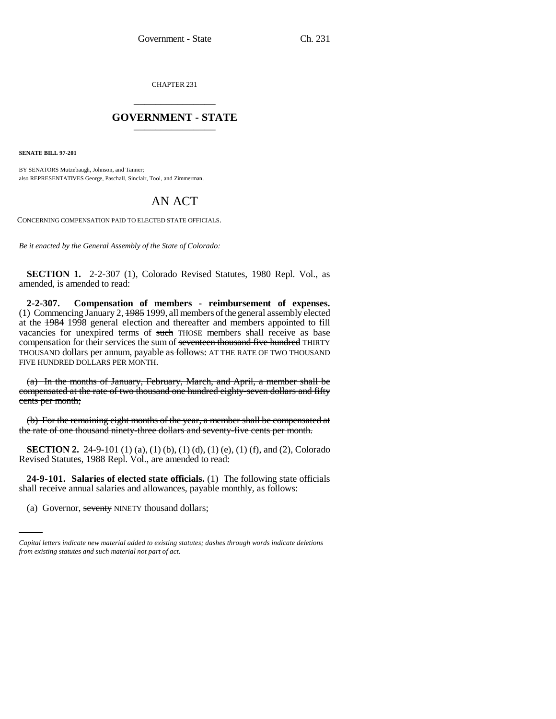CHAPTER 231 \_\_\_\_\_\_\_\_\_\_\_\_\_\_\_

## **GOVERNMENT - STATE** \_\_\_\_\_\_\_\_\_\_\_\_\_\_\_

**SENATE BILL 97-201**

BY SENATORS Mutzebaugh, Johnson, and Tanner; also REPRESENTATIVES George, Paschall, Sinclair, Tool, and Zimmerman.

## AN ACT

CONCERNING COMPENSATION PAID TO ELECTED STATE OFFICIALS.

*Be it enacted by the General Assembly of the State of Colorado:*

**SECTION 1.** 2-2-307 (1), Colorado Revised Statutes, 1980 Repl. Vol., as amended, is amended to read:

**2-2-307. Compensation of members - reimbursement of expenses.** (1) Commencing January 2, 1985 1999, all members of the general assembly elected at the 1984 1998 general election and thereafter and members appointed to fill vacancies for unexpired terms of such THOSE members shall receive as base compensation for their services the sum of seventeen thousand five hundred THIRTY THOUSAND dollars per annum, payable as follows: AT THE RATE OF TWO THOUSAND FIVE HUNDRED DOLLARS PER MONTH.

(a) In the months of January, February, March, and April, a member shall be compensated at the rate of two thousand one hundred eighty-seven dollars and fifty cents per month;

(b) For the remaining eight months of the year, a member shall be compensated at the rate of one thousand ninety-three dollars and seventy-five cents per month.

**SECTION 2.** 24-9-101 (1) (a), (1) (b), (1) (d), (1) (e), (1) (f), and (2), Colorado Revised Statutes, 1988 Repl. Vol., are amended to read:

 $24$ - $5$ -101. Salaries of elected state of relations, (1) The following state shall receive annual salaries and allowances, payable monthly, as follows: **24-9-101. Salaries of elected state officials.** (1) The following state officials

(a) Governor, seventy NINETY thousand dollars;

*Capital letters indicate new material added to existing statutes; dashes through words indicate deletions from existing statutes and such material not part of act.*